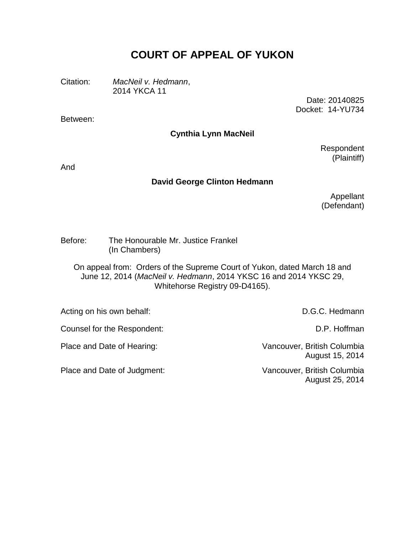# **COURT OF APPEAL OF YUKON**

Citation: *MacNeil v. Hedmann*, 2014 YKCA 11

> Date: 20140825 Docket: 14-YU734

Between:

### **Cynthia Lynn MacNeil**

Respondent (Plaintiff)

And

#### **David George Clinton Hedmann**

Appellant (Defendant)

Before: The Honourable Mr. Justice Frankel (In Chambers)

On appeal from: Orders of the Supreme Court of Yukon, dated March 18 and June 12, 2014 (*MacNeil v. Hedmann*, 2014 YKSC 16 and 2014 YKSC 29, Whitehorse Registry 09-D4165).

Acting on his own behalf: D.G.C. Hedmann

Place and Date of Hearing: Vancouver, British Columbia August 15, 2014

August 25, 2014

Counsel for the Respondent: Counsel for the Respondent:

Place and Date of Judgment: Vancouver, British Columbia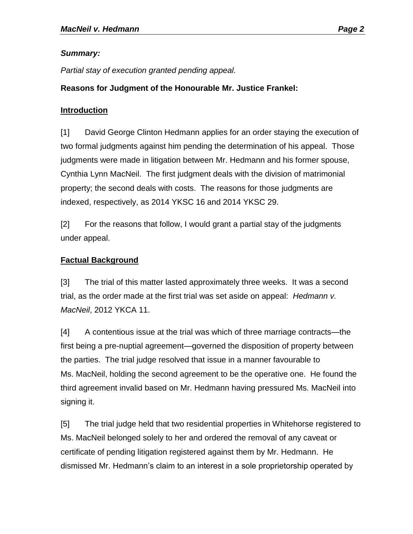# *Summary:*

*Partial stay of execution granted pending appeal.*

# **Reasons for Judgment of the Honourable Mr. Justice Frankel:**

#### **Introduction**

[1] David George Clinton Hedmann applies for an order staying the execution of two formal judgments against him pending the determination of his appeal. Those judgments were made in litigation between Mr. Hedmann and his former spouse, Cynthia Lynn MacNeil. The first judgment deals with the division of matrimonial property; the second deals with costs. The reasons for those judgments are indexed, respectively, as 2014 YKSC 16 and 2014 YKSC 29.

[2] For the reasons that follow, I would grant a partial stay of the judgments under appeal.

### **Factual Background**

[3] The trial of this matter lasted approximately three weeks. It was a second trial, as the order made at the first trial was set aside on appeal: *Hedmann v. MacNeil*, 2012 YKCA 11.

[4] A contentious issue at the trial was which of three marriage contracts—the first being a pre-nuptial agreement—governed the disposition of property between the parties. The trial judge resolved that issue in a manner favourable to Ms. MacNeil, holding the second agreement to be the operative one. He found the third agreement invalid based on Mr. Hedmann having pressured Ms. MacNeil into signing it.

[5] The trial judge held that two residential properties in Whitehorse registered to Ms. MacNeil belonged solely to her and ordered the removal of any caveat or certificate of pending litigation registered against them by Mr. Hedmann. He dismissed Mr. Hedmann's claim to an interest in a sole proprietorship operated by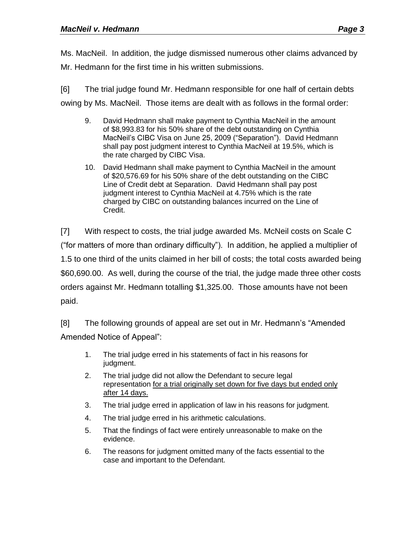Ms. MacNeil. In addition, the judge dismissed numerous other claims advanced by Mr. Hedmann for the first time in his written submissions.

[6] The trial judge found Mr. Hedmann responsible for one half of certain debts owing by Ms. MacNeil. Those items are dealt with as follows in the formal order:

- 9. David Hedmann shall make payment to Cynthia MacNeil in the amount of \$8,993.83 for his 50% share of the debt outstanding on Cynthia MacNeil's CIBC Visa on June 25, 2009 ("Separation"). David Hedmann shall pay post judgment interest to Cynthia MacNeil at 19.5%, which is the rate charged by CIBC Visa.
- 10. David Hedmann shall make payment to Cynthia MacNeil in the amount of \$20,576.69 for his 50% share of the debt outstanding on the CIBC Line of Credit debt at Separation. David Hedmann shall pay post judgment interest to Cynthia MacNeil at 4.75% which is the rate charged by CIBC on outstanding balances incurred on the Line of Credit.

[7] With respect to costs, the trial judge awarded Ms. McNeil costs on Scale C ("for matters of more than ordinary difficulty"). In addition, he applied a multiplier of 1.5 to one third of the units claimed in her bill of costs; the total costs awarded being \$60,690.00. As well, during the course of the trial, the judge made three other costs orders against Mr. Hedmann totalling \$1,325.00. Those amounts have not been paid.

[8] The following grounds of appeal are set out in Mr. Hedmann's "Amended Amended Notice of Appeal":

- 1. The trial judge erred in his statements of fact in his reasons for judgment.
- 2. The trial judge did not allow the Defendant to secure legal representation for a trial originally set down for five days but ended only after 14 days.
- 3. The trial judge erred in application of law in his reasons for judgment.
- 4. The trial judge erred in his arithmetic calculations.
- 5. That the findings of fact were entirely unreasonable to make on the evidence.
- 6. The reasons for judgment omitted many of the facts essential to the case and important to the Defendant.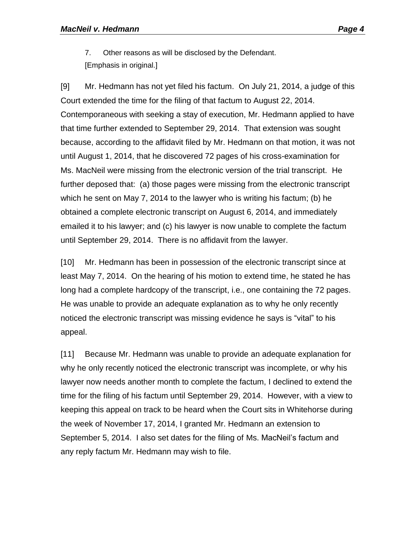7. Other reasons as will be disclosed by the Defendant. [Emphasis in original.]

[9] Mr. Hedmann has not yet filed his factum. On July 21, 2014, a judge of this Court extended the time for the filing of that factum to August 22, 2014. Contemporaneous with seeking a stay of execution, Mr. Hedmann applied to have that time further extended to September 29, 2014. That extension was sought because, according to the affidavit filed by Mr. Hedmann on that motion, it was not until August 1, 2014, that he discovered 72 pages of his cross-examination for Ms. MacNeil were missing from the electronic version of the trial transcript. He further deposed that: (a) those pages were missing from the electronic transcript which he sent on May 7, 2014 to the lawyer who is writing his factum; (b) he obtained a complete electronic transcript on August 6, 2014, and immediately emailed it to his lawyer; and (c) his lawyer is now unable to complete the factum until September 29, 2014. There is no affidavit from the lawyer.

[10] Mr. Hedmann has been in possession of the electronic transcript since at least May 7, 2014. On the hearing of his motion to extend time, he stated he has long had a complete hardcopy of the transcript, i.e., one containing the 72 pages. He was unable to provide an adequate explanation as to why he only recently noticed the electronic transcript was missing evidence he says is "vital" to his appeal.

[11] Because Mr. Hedmann was unable to provide an adequate explanation for why he only recently noticed the electronic transcript was incomplete, or why his lawyer now needs another month to complete the factum, I declined to extend the time for the filing of his factum until September 29, 2014. However, with a view to keeping this appeal on track to be heard when the Court sits in Whitehorse during the week of November 17, 2014, I granted Mr. Hedmann an extension to September 5, 2014. I also set dates for the filing of Ms. MacNeil's factum and any reply factum Mr. Hedmann may wish to file.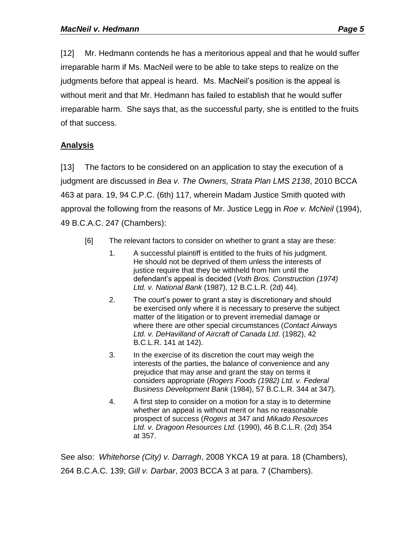irreparable harm. She says that, as the successful party, she is entitled to the fruits of that success.

# **Analysis**

[13] The factors to be considered on an application to stay the execution of a judgment are discussed in *Bea v. The Owners, Strata Plan LMS 2138*, 2010 BCCA 463 at para. 19, 94 C.P.C. (6th) 117, wherein Madam Justice Smith quoted with approval the following from the reasons of Mr. Justice Legg in *Roe v. McNeil* (1994), 49 B.C.A.C. 247 (Chambers):

- [6] The relevant factors to consider on whether to grant a stay are these:
	- 1. A successful plaintiff is entitled to the fruits of his judgment. He should not be deprived of them unless the interests of justice require that they be withheld from him until the defendant's appeal is decided (*Voth Bros. Construction (1974) Ltd. v. National Bank* (1987), 12 B.C.L.R. (2d) 44).
	- 2. The court's power to grant a stay is discretionary and should be exercised only where it is necessary to preserve the subject matter of the litigation or to prevent irremedial damage or where there are other special circumstances (*Contact Airways Ltd. v. DeHavilland of Aircraft of Canada Ltd*. (1982), 42 B.C.L.R. 141 at 142).
	- 3. In the exercise of its discretion the court may weigh the interests of the parties, the balance of convenience and any prejudice that may arise and grant the stay on terms it considers appropriate (*Rogers Foods (1982) Ltd. v. Federal Business Development Bank* (1984), 57 B.C.L.R. 344 at 347).
	- 4. A first step to consider on a motion for a stay is to determine whether an appeal is without merit or has no reasonable prospect of success (*Rogers* at 347 and *Mikado Resources Ltd. v. Dragoon Resources Ltd.* (1990), 46 B.C.L.R. (2d) 354 at 357.

See also: *Whitehorse (City) v. Darragh*, 2008 YKCA 19 at para. 18 (Chambers), 264 B.C.A.C. 139; *Gill v. Darbar*, 2003 BCCA 3 at para. 7 (Chambers).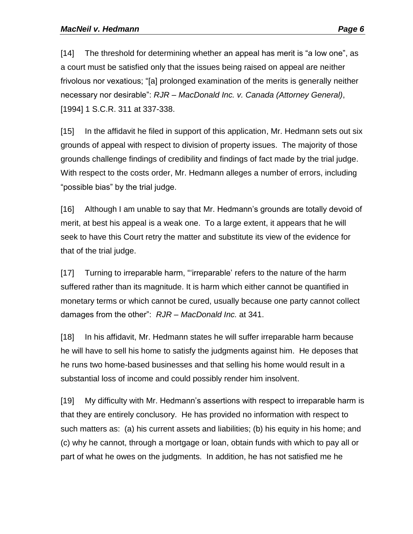[14] The threshold for determining whether an appeal has merit is "a low one", as a court must be satisfied only that the issues being raised on appeal are neither frivolous nor vexatious; "[a] prolonged examination of the merits is generally neither necessary nor desirable": *RJR – MacDonald Inc. v. Canada (Attorney General)*, [1994] 1 S.C.R. 311 at 337-338.

[15] In the affidavit he filed in support of this application, Mr. Hedmann sets out six grounds of appeal with respect to division of property issues. The majority of those grounds challenge findings of credibility and findings of fact made by the trial judge. With respect to the costs order, Mr. Hedmann alleges a number of errors, including "possible bias" by the trial judge.

[16] Although I am unable to say that Mr. Hedmann's grounds are totally devoid of merit, at best his appeal is a weak one. To a large extent, it appears that he will seek to have this Court retry the matter and substitute its view of the evidence for that of the trial judge.

[17] Turning to irreparable harm, "'irreparable' refers to the nature of the harm suffered rather than its magnitude. It is harm which either cannot be quantified in monetary terms or which cannot be cured, usually because one party cannot collect damages from the other": *RJR – MacDonald Inc.* at 341.

[18] In his affidavit, Mr. Hedmann states he will suffer irreparable harm because he will have to sell his home to satisfy the judgments against him. He deposes that he runs two home-based businesses and that selling his home would result in a substantial loss of income and could possibly render him insolvent.

[19] My difficulty with Mr. Hedmann's assertions with respect to irreparable harm is that they are entirely conclusory. He has provided no information with respect to such matters as: (a) his current assets and liabilities; (b) his equity in his home; and (c) why he cannot, through a mortgage or loan, obtain funds with which to pay all or part of what he owes on the judgments. In addition, he has not satisfied me he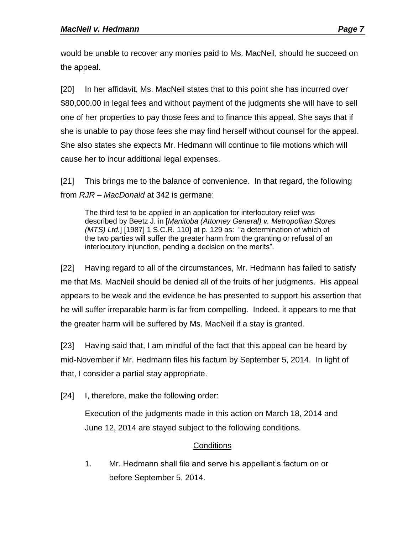would be unable to recover any monies paid to Ms. MacNeil, should he succeed on the appeal.

[20] In her affidavit, Ms. MacNeil states that to this point she has incurred over \$80,000.00 in legal fees and without payment of the judgments she will have to sell one of her properties to pay those fees and to finance this appeal. She says that if she is unable to pay those fees she may find herself without counsel for the appeal. She also states she expects Mr. Hedmann will continue to file motions which will cause her to incur additional legal expenses.

[21] This brings me to the balance of convenience. In that regard, the following from *RJR – MacDonald* at 342 is germane:

The third test to be applied in an application for interlocutory relief was described by Beetz J. in [*Manitoba (Attorney General) v. Metropolitan Stores (MTS) Ltd.*] [1987] 1 S.C.R. 110] at p. 129 as: "a determination of which of the two parties will suffer the greater harm from the granting or refusal of an interlocutory injunction, pending a decision on the merits".

[22] Having regard to all of the circumstances, Mr. Hedmann has failed to satisfy me that Ms. MacNeil should be denied all of the fruits of her judgments. His appeal appears to be weak and the evidence he has presented to support his assertion that he will suffer irreparable harm is far from compelling. Indeed, it appears to me that the greater harm will be suffered by Ms. MacNeil if a stay is granted.

[23] Having said that, I am mindful of the fact that this appeal can be heard by mid-November if Mr. Hedmann files his factum by September 5, 2014. In light of that, I consider a partial stay appropriate.

[24] I, therefore, make the following order:

Execution of the judgments made in this action on March 18, 2014 and June 12, 2014 are stayed subject to the following conditions.

# **Conditions**

1. Mr. Hedmann shall file and serve his appellant's factum on or before September 5, 2014.